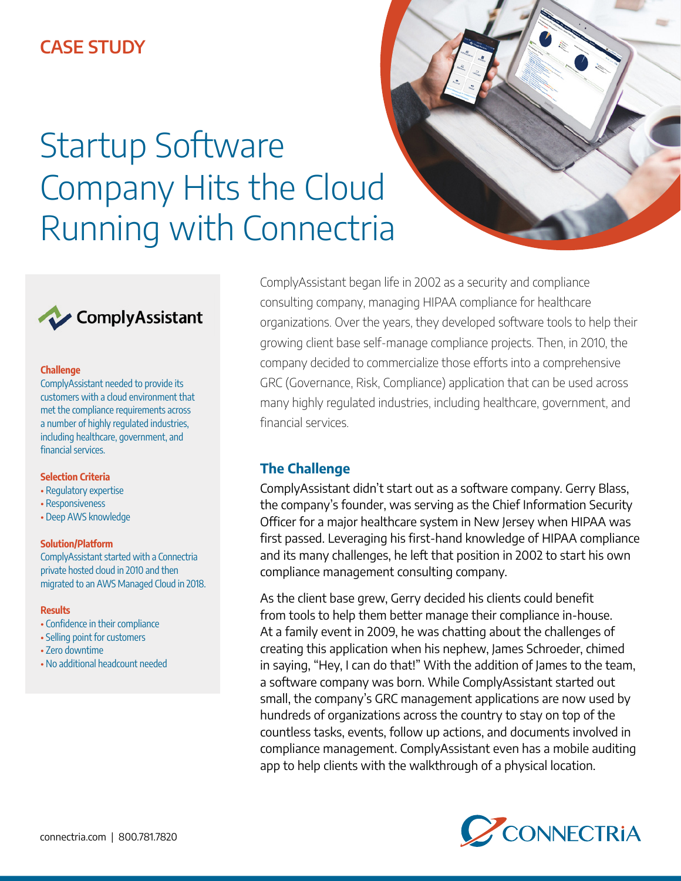# **CASE STUDY**

# Startup Software Company Hits the Cloud Running with Connectria





### **Challenge**

ComplyAssistant needed to provide its customers with a cloud environment that met the compliance requirements across a number of highly regulated industries, including healthcare, government, and financial services.

### **Selection Criteria**

- Regulatory expertise
- Responsiveness
- Deep AWS knowledge

### **Solution/Platform**

ComplyAssistant started with a Connectria private hosted cloud in 2010 and then migrated to an AWS Managed Cloud in 2018.

### **Results**

- Confidence in their compliance
- Selling point for customers
- Zero downtime
- No additional headcount needed

ComplyAssistant began life in 2002 as a security and compliance consulting company, managing HIPAA compliance for healthcare organizations. Over the years, they developed software tools to help their growing client base self-manage compliance projects. Then, in 2010, the company decided to commercialize those efforts into a comprehensive GRC (Governance, Risk, Compliance) application that can be used across many highly regulated industries, including healthcare, government, and financial services.

### **The Challenge**

ComplyAssistant didn't start out as a software company. Gerry Blass, the company's founder, was serving as the Chief Information Security Officer for a major healthcare system in New Jersey when HIPAA was first passed. Leveraging his first-hand knowledge of HIPAA compliance and its many challenges, he left that position in 2002 to start his own compliance management consulting company.

As the client base grew, Gerry decided his clients could benefit from tools to help them better manage their compliance in-house. At a family event in 2009, he was chatting about the challenges of creating this application when his nephew, James Schroeder, chimed in saying, "Hey, I can do that!" With the addition of James to the team, a software company was born. While ComplyAssistant started out small, the company's GRC management applications are now used by hundreds of organizations across the country to stay on top of the countless tasks, events, follow up actions, and documents involved in compliance management. ComplyAssistant even has a mobile auditing app to help clients with the walkthrough of a physical location.

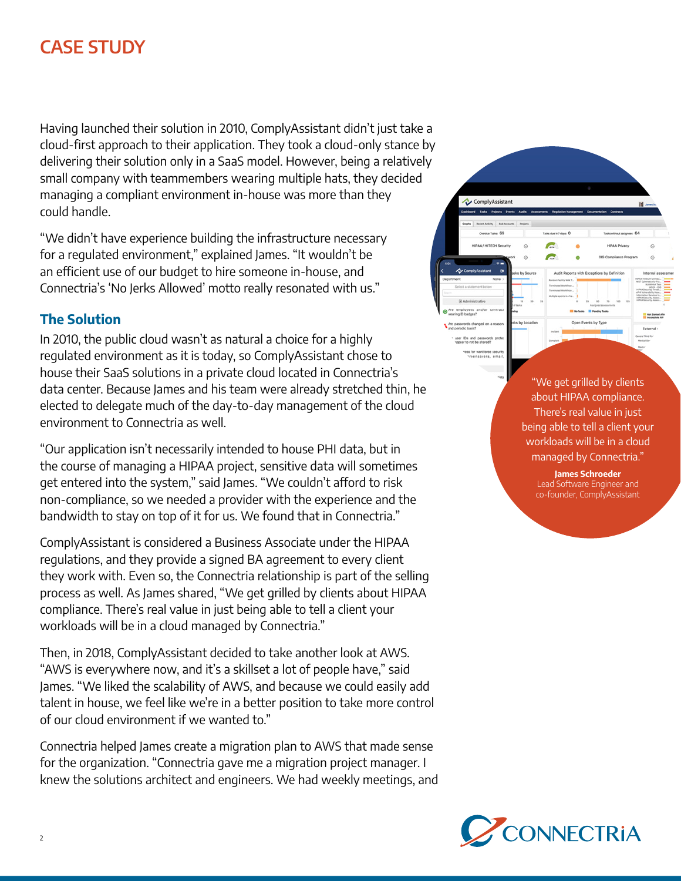# **CASE STUDY**

Having launched their solution in 2010, ComplyAssistant didn't just take a cloud-first approach to their application. They took a cloud-only stance by delivering their solution only in a SaaS model. However, being a relatively small company with teammembers wearing multiple hats, they decided managing a compliant environment in-house was more than they could handle.

"We didn't have experience building the infrastructure necessary for a regulated environment," explained James. "It wouldn't be an efficient use of our budget to hire someone in-house, and Connectria's 'No Jerks Allowed' motto really resonated with us."

## **The Solution**

In 2010, the public cloud wasn't as natural a choice for a highly regulated environment as it is today, so ComplyAssistant chose to house their SaaS solutions in a private cloud located in Connectria's data center. Because James and his team were already stretched thin, he elected to delegate much of the day-to-day management of the cloud environment to Connectria as well.

"Our application isn't necessarily intended to house PHI data, but in the course of managing a HIPAA project, sensitive data will sometimes get entered into the system," said James. "We couldn't afford to risk non-compliance, so we needed a provider with the experience and the bandwidth to stay on top of it for us. We found that in Connectria."

ComplyAssistant is considered a Business Associate under the HIPAA regulations, and they provide a signed BA agreement to every client they work with. Even so, the Connectria relationship is part of the selling process as well. As James shared, "We get grilled by clients about HIPAA compliance. There's real value in just being able to tell a client your workloads will be in a cloud managed by Connectria."

Then, in 2018, ComplyAssistant decided to take another look at AWS. "AWS is everywhere now, and it's a skillset a lot of people have," said James. "We liked the scalability of AWS, and because we could easily add talent in house, we feel like we're in a better position to take more control of our cloud environment if we wanted to."

Connectria helped James create a migration plan to AWS that made sense for the organization. "Connectria gave me a migration project manager. I knew the solutions architect and engineers. We had weekly meetings, and



ComplyAssistant

 $\circ$ 

e

**C** 

 $\bullet$ 

**James Schroeder** Lead Software Engineer and co-founder, ComplyAssistant